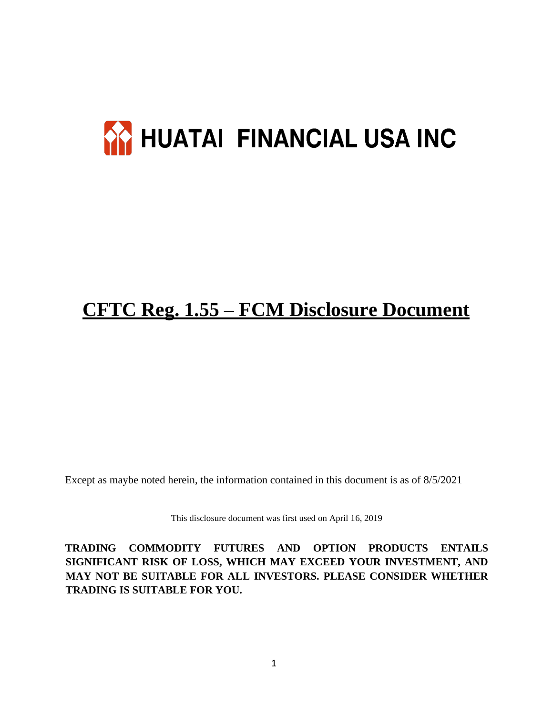# **AY HUATAI FINANCIAL USA INC**

## **CFTC Reg. 1.55 – FCM Disclosure Document**

Except as maybe noted herein, the information contained in this document is as of 8/5/2021

This disclosure document was first used on April 16, 2019

**TRADING COMMODITY FUTURES AND OPTION PRODUCTS ENTAILS SIGNIFICANT RISK OF LOSS, WHICH MAY EXCEED YOUR INVESTMENT, AND MAY NOT BE SUITABLE FOR ALL INVESTORS. PLEASE CONSIDER WHETHER TRADING IS SUITABLE FOR YOU.**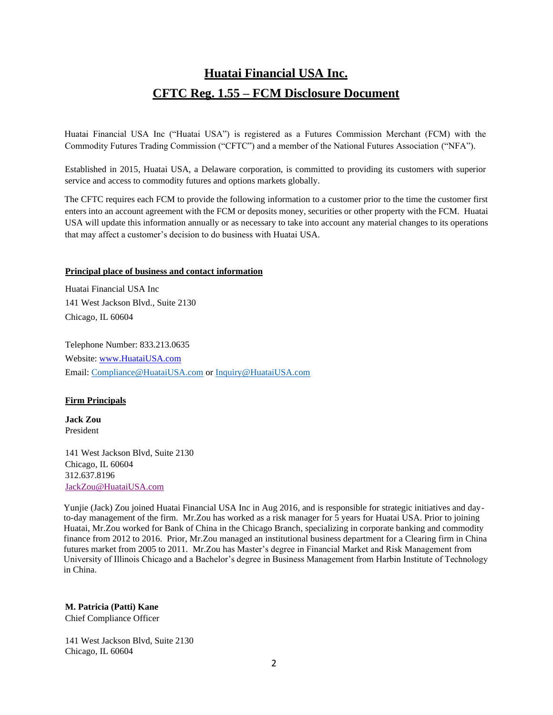### **Huatai Financial USA Inc. CFTC Reg. 1.55 – FCM Disclosure Document**

Huatai Financial USA Inc ("Huatai USA") is registered as a Futures Commission Merchant (FCM) with the Commodity Futures Trading Commission ("CFTC") and a member of the National Futures Association ("NFA").

Established in 2015, Huatai USA, a Delaware corporation, is committed to providing its customers with superior service and access to commodity futures and options markets globally.

The CFTC requires each FCM to provide the following information to a customer prior to the time the customer first enters into an account agreement with the FCM or deposits money, securities or other property with the FCM. Huatai USA will update this information annually or as necessary to take into account any material changes to its operations that may affect a customer's decision to do business with Huatai USA.

#### **Principal place of business and contact information**

Huatai Financial USA Inc 141 West Jackson Blvd., Suite 2130 Chicago, IL 60604

Telephone Number: 833.213.0635 Website: [www.HuataiUSA.com](http://www.huataiusa.com/) Email: [Compliance@HuataiUSA.com](mailto:Compliance@HuataiUSA.com) o[r Inquiry@HuataiUSA.com](mailto:Inquiry@HuataiUSA.com)

#### **Firm Principals**

**Jack Zou** President

141 West Jackson Blvd, Suite 2130 Chicago, IL 60604 312.637.8196 [JackZou@HuataiUSA.com](mailto:JackZou@HuataiUSA.com)

Yunjie (Jack) Zou joined Huatai Financial USA Inc in Aug 2016, and is responsible for strategic initiatives and dayto-day management of the firm. Mr.Zou has worked as a risk manager for 5 years for Huatai USA. Prior to joining Huatai, Mr.Zou worked for Bank of China in the Chicago Branch, specializing in corporate banking and commodity finance from 2012 to 2016. Prior, Mr.Zou managed an institutional business department for a Clearing firm in China futures market from 2005 to 2011. Mr.Zou has Master's degree in Financial Market and Risk Management from University of Illinois Chicago and a Bachelor's degree in Business Management from Harbin Institute of Technology in China.

#### **M. Patricia (Patti) Kane**

Chief Compliance Officer

141 West Jackson Blvd, Suite 2130 Chicago, IL 60604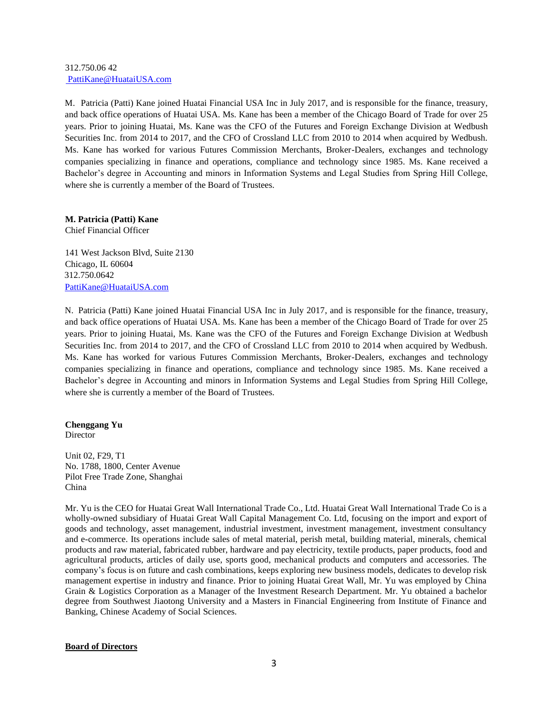#### 312.750.06 42 [PattiKane@HuataiUSA.com](mailto:%20PattiKane@HuataiUSA.com)

M. Patricia (Patti) Kane joined Huatai Financial USA Inc in July 2017, and is responsible for the finance, treasury, and back office operations of Huatai USA. Ms. Kane has been a member of the Chicago Board of Trade for over 25 years. Prior to joining Huatai, Ms. Kane was the CFO of the Futures and Foreign Exchange Division at Wedbush Securities Inc. from 2014 to 2017, and the CFO of Crossland LLC from 2010 to 2014 when acquired by Wedbush. Ms. Kane has worked for various Futures Commission Merchants, Broker-Dealers, exchanges and technology companies specializing in finance and operations, compliance and technology since 1985. Ms. Kane received a Bachelor's degree in Accounting and minors in Information Systems and Legal Studies from Spring Hill College, where she is currently a member of the Board of Trustees.

#### **M. Patricia (Patti) Kane**

Chief Financial Officer

141 West Jackson Blvd, Suite 2130 Chicago, IL 60604 312.750.0642 [PattiKane@HuataiUSA.com](mailto:PattiKane@HuataiUSA.com)

N. Patricia (Patti) Kane joined Huatai Financial USA Inc in July 2017, and is responsible for the finance, treasury, and back office operations of Huatai USA. Ms. Kane has been a member of the Chicago Board of Trade for over 25 years. Prior to joining Huatai, Ms. Kane was the CFO of the Futures and Foreign Exchange Division at Wedbush Securities Inc. from 2014 to 2017, and the CFO of Crossland LLC from 2010 to 2014 when acquired by Wedbush. Ms. Kane has worked for various Futures Commission Merchants, Broker-Dealers, exchanges and technology companies specializing in finance and operations, compliance and technology since 1985. Ms. Kane received a Bachelor's degree in Accounting and minors in Information Systems and Legal Studies from Spring Hill College, where she is currently a member of the Board of Trustees.

#### **Chenggang Yu**

**Director** 

Unit 02, F29, T1 No. 1788, 1800, Center Avenue Pilot Free Trade Zone, Shanghai China

Mr. Yu is the CEO for Huatai Great Wall International Trade Co., Ltd. Huatai Great Wall International Trade Co is a wholly-owned subsidiary of Huatai Great Wall Capital Management Co. Ltd, focusing on the import and export of goods and technology, asset management, industrial investment, investment management, investment consultancy and e-commerce. Its operations include sales of metal material, perish metal, building material, minerals, chemical products and raw material, fabricated rubber, hardware and pay electricity, textile products, paper products, food and agricultural products, articles of daily use, sports good, mechanical products and computers and accessories. The company's focus is on future and cash combinations, keeps exploring new business models, dedicates to develop risk management expertise in industry and finance. Prior to joining Huatai Great Wall, Mr. Yu was employed by China Grain & Logistics Corporation as a Manager of the Investment Research Department. Mr. Yu obtained a bachelor degree from Southwest Jiaotong University and a Masters in Financial Engineering from Institute of Finance and Banking, Chinese Academy of Social Sciences.

#### **Board of Directors**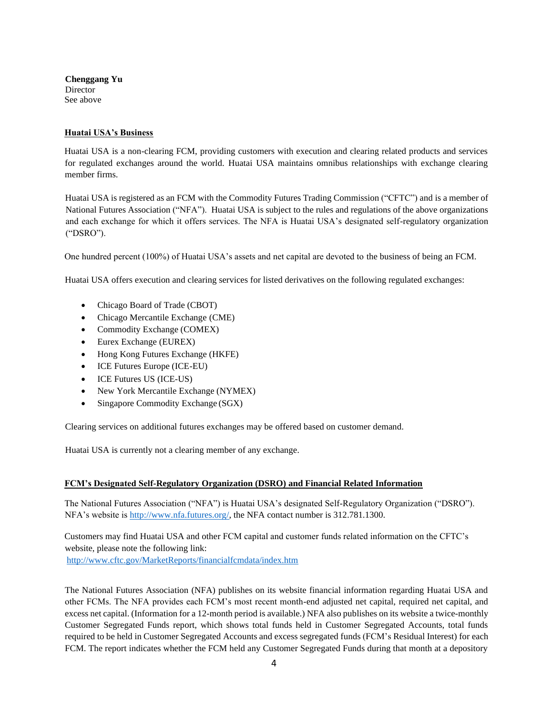**Chenggang Yu** Director See above

#### **Huatai USA's Business**

Huatai USA is a non-clearing FCM, providing customers with execution and clearing related products and services for regulated exchanges around the world. Huatai USA maintains omnibus relationships with exchange clearing member firms.

Huatai USA is registered as an FCM with the Commodity Futures Trading Commission ("CFTC") and is a member of National Futures Association ("NFA"). Huatai USA is subject to the rules and regulations of the above organizations and each exchange for which it offers services. The NFA is Huatai USA's designated self-regulatory organization ("DSRO").

One hundred percent (100%) of Huatai USA's assets and net capital are devoted to the business of being an FCM.

Huatai USA offers execution and clearing services for listed derivatives on the following regulated exchanges:

- Chicago Board of Trade (CBOT)
- Chicago Mercantile Exchange (CME)
- Commodity Exchange (COMEX)
- Eurex Exchange (EUREX)
- Hong Kong Futures Exchange (HKFE)
- ICE Futures Europe (ICE-EU)
- ICE Futures US (ICE-US)
- New York Mercantile Exchange (NYMEX)
- Singapore Commodity Exchange (SGX)

Clearing services on additional futures exchanges may be offered based on customer demand.

Huatai USA is currently not a clearing member of any exchange.

#### **FCM's Designated Self-Regulatory Organization (DSRO) and Financial Related Information**

The National Futures Association ("NFA") is Huatai USA's designated Self-Regulatory Organization ("DSRO"). NFA's website is [http://www.nfa.futures.org/, t](http://www.nfa.futures.org/)he NFA contact number is 312.781.1300.

Customers may find Huatai USA and other FCM capital and customer funds related information on the CFTC's website, please note the following link: <http://www.cftc.gov/MarketReports/financialfcmdata/index.htm>

The National Futures Association (NFA) publishes on its website financial information regarding Huatai USA and other FCMs. The NFA provides each FCM's most recent month-end adjusted net capital, required net capital, and excess net capital. (Information for a 12-month period is available.) NFA also publishes on its website a twice-monthly Customer Segregated Funds report, which shows total funds held in Customer Segregated Accounts, total funds required to be held in Customer Segregated Accounts and excess segregated funds (FCM's Residual Interest) for each FCM. The report indicates whether the FCM held any Customer Segregated Funds during that month at a depository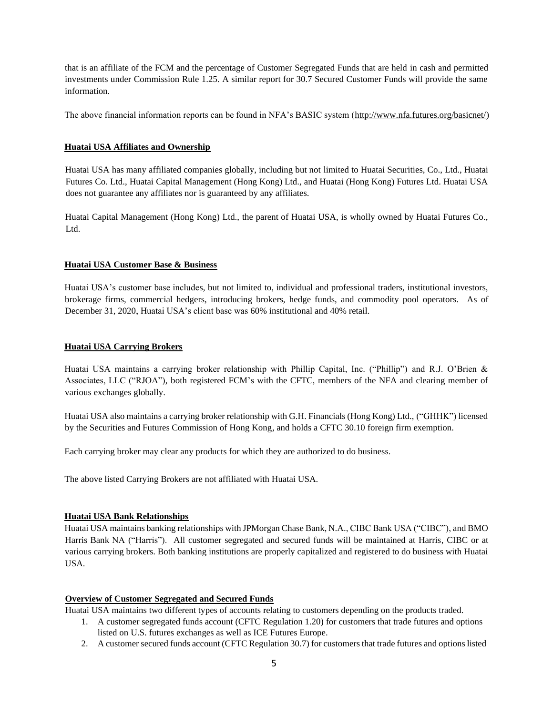that is an affiliate of the FCM and the percentage of Customer Segregated Funds that are held in cash and permitted investments under Commission Rule 1.25. A similar report for 30.7 Secured Customer Funds will provide the same information.

The above financial information reports can be found in NFA's BASIC system [\(http://www.nfa.futures.org/basicnet/\)](http://www.nfa.futures.org/basicnet/)

#### **Huatai USA Affiliates and Ownership**

Huatai USA has many affiliated companies globally, including but not limited to Huatai Securities, Co., Ltd., Huatai Futures Co. Ltd., Huatai Capital Management (Hong Kong) Ltd., and Huatai (Hong Kong) Futures Ltd. Huatai USA does not guarantee any affiliates nor is guaranteed by any affiliates.

Huatai Capital Management (Hong Kong) Ltd., the parent of Huatai USA, is wholly owned by Huatai Futures Co., Ltd.

#### **Huatai USA Customer Base & Business**

Huatai USA's customer base includes, but not limited to, individual and professional traders, institutional investors, brokerage firms, commercial hedgers, introducing brokers, hedge funds, and commodity pool operators. As of December 31, 2020, Huatai USA's client base was 60% institutional and 40% retail.

#### **Huatai USA Carrying Brokers**

Huatai USA maintains a carrying broker relationship with Phillip Capital, Inc. ("Phillip") and R.J. O'Brien & Associates, LLC ("RJOA"), both registered FCM's with the CFTC, members of the NFA and clearing member of various exchanges globally.

Huatai USA also maintains a carrying broker relationship with G.H. Financials (Hong Kong) Ltd., ("GHHK") licensed by the Securities and Futures Commission of Hong Kong, and holds a CFTC 30.10 foreign firm exemption.

Each carrying broker may clear any products for which they are authorized to do business.

The above listed Carrying Brokers are not affiliated with Huatai USA.

#### **Huatai USA Bank Relationships**

Huatai USA maintains banking relationships with JPMorgan Chase Bank, N.A., CIBC Bank USA ("CIBC"), and BMO Harris Bank NA ("Harris"). All customer segregated and secured funds will be maintained at Harris, CIBC or at various carrying brokers. Both banking institutions are properly capitalized and registered to do business with Huatai USA.

#### **Overview of Customer Segregated and Secured Funds**

Huatai USA maintains two different types of accounts relating to customers depending on the products traded.

- 1. A customer segregated funds account (CFTC Regulation 1.20) for customers that trade futures and options listed on U.S. futures exchanges as well as ICE Futures Europe.
- 2. A customer secured funds account (CFTC Regulation 30.7) for customersthat trade futures and optionslisted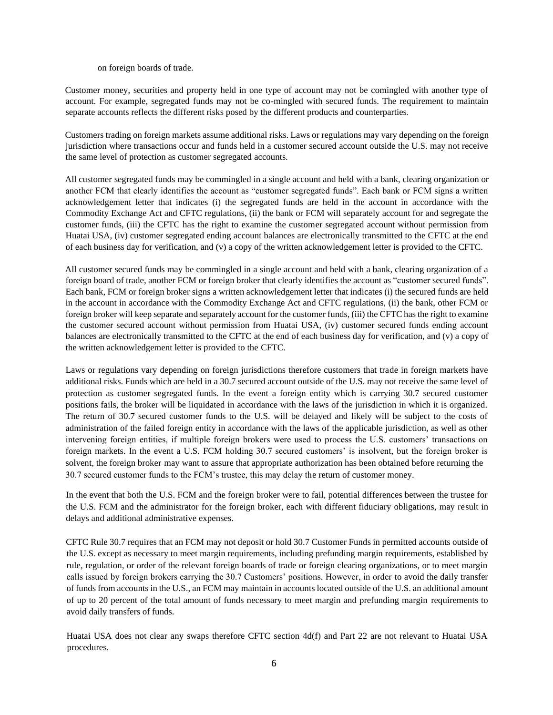on foreign boards of trade.

Customer money, securities and property held in one type of account may not be comingled with another type of account. For example, segregated funds may not be co-mingled with secured funds. The requirement to maintain separate accounts reflects the different risks posed by the different products and counterparties.

Customers trading on foreign markets assume additional risks. Laws or regulations may vary depending on the foreign jurisdiction where transactions occur and funds held in a customer secured account outside the U.S. may not receive the same level of protection as customer segregated accounts.

All customer segregated funds may be commingled in a single account and held with a bank, clearing organization or another FCM that clearly identifies the account as "customer segregated funds". Each bank or FCM signs a written acknowledgement letter that indicates (i) the segregated funds are held in the account in accordance with the Commodity Exchange Act and CFTC regulations, (ii) the bank or FCM will separately account for and segregate the customer funds, (iii) the CFTC has the right to examine the customer segregated account without permission from Huatai USA, (iv) customer segregated ending account balances are electronically transmitted to the CFTC at the end of each business day for verification, and (v) a copy of the written acknowledgement letter is provided to the CFTC.

All customer secured funds may be commingled in a single account and held with a bank, clearing organization of a foreign board of trade, another FCM or foreign broker that clearly identifies the account as "customer secured funds". Each bank, FCM or foreign broker signs a written acknowledgement letter that indicates (i) the secured funds are held in the account in accordance with the Commodity Exchange Act and CFTC regulations, (ii) the bank, other FCM or foreign broker will keep separate and separately account for the customer funds, (iii) the CFTC has the right to examine the customer secured account without permission from Huatai USA, (iv) customer secured funds ending account balances are electronically transmitted to the CFTC at the end of each business day for verification, and (v) a copy of the written acknowledgement letter is provided to the CFTC.

Laws or regulations vary depending on foreign jurisdictions therefore customers that trade in foreign markets have additional risks. Funds which are held in a 30.7 secured account outside of the U.S. may not receive the same level of protection as customer segregated funds. In the event a foreign entity which is carrying 30.7 secured customer positions fails, the broker will be liquidated in accordance with the laws of the jurisdiction in which it is organized. The return of 30.7 secured customer funds to the U.S. will be delayed and likely will be subject to the costs of administration of the failed foreign entity in accordance with the laws of the applicable jurisdiction, as well as other intervening foreign entities, if multiple foreign brokers were used to process the U.S. customers' transactions on foreign markets. In the event a U.S. FCM holding 30.7 secured customers' is insolvent, but the foreign broker is solvent, the foreign broker may want to assure that appropriate authorization has been obtained before returning the 30.7 secured customer funds to the FCM's trustee, this may delay the return of customer money.

In the event that both the U.S. FCM and the foreign broker were to fail, potential differences between the trustee for the U.S. FCM and the administrator for the foreign broker, each with different fiduciary obligations, may result in delays and additional administrative expenses.

CFTC Rule 30.7 requires that an FCM may not deposit or hold 30.7 Customer Funds in permitted accounts outside of the U.S. except as necessary to meet margin requirements, including prefunding margin requirements, established by rule, regulation, or order of the relevant foreign boards of trade or foreign clearing organizations, or to meet margin calls issued by foreign brokers carrying the 30.7 Customers' positions. However, in order to avoid the daily transfer of funds from accounts in the U.S., an FCM may maintain in accounts located outside of the U.S. an additional amount of up to 20 percent of the total amount of funds necessary to meet margin and prefunding margin requirements to avoid daily transfers of funds.

Huatai USA does not clear any swaps therefore CFTC section 4d(f) and Part 22 are not relevant to Huatai USA procedures.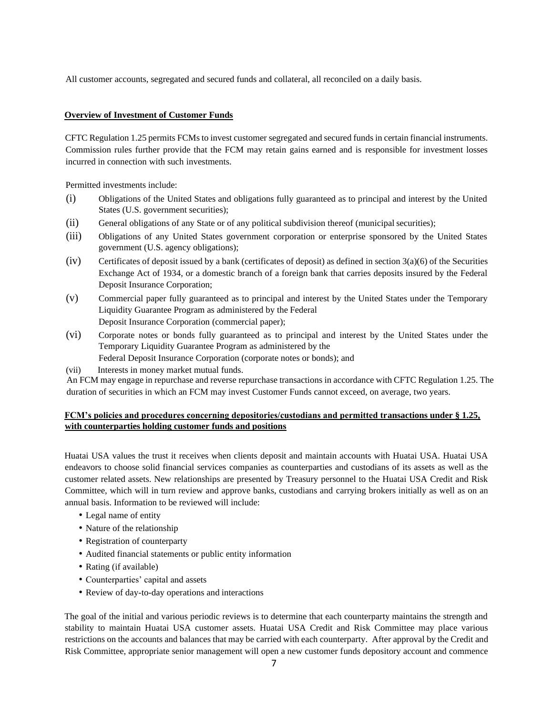All customer accounts, segregated and secured funds and collateral, all reconciled on a daily basis.

#### **Overview of Investment of Customer Funds**

CFTC Regulation 1.25 permits FCMsto invest customer segregated and secured funds in certain financial instruments. Commission rules further provide that the FCM may retain gains earned and is responsible for investment losses incurred in connection with such investments.

Permitted investments include:

- (i) Obligations of the United States and obligations fully guaranteed as to principal and interest by the United States (U.S. government securities);
- (ii) General obligations of any State or of any political subdivision thereof (municipal securities);
- (iii) Obligations of any United States government corporation or enterprise sponsored by the United States government (U.S. agency obligations);
- (iv) Certificates of deposit issued by a bank (certificates of deposit) as defined in section  $3(a)(6)$  of the Securities Exchange Act of 1934, or a domestic branch of a foreign bank that carries deposits insured by the Federal Deposit Insurance Corporation;
- (v) Commercial paper fully guaranteed as to principal and interest by the United States under the Temporary Liquidity Guarantee Program as administered by the Federal Deposit Insurance Corporation (commercial paper);
- (vi) Corporate notes or bonds fully guaranteed as to principal and interest by the United States under the Temporary Liquidity Guarantee Program as administered by the Federal Deposit Insurance Corporation (corporate notes or bonds); and
- (vii) Interests in money market mutual funds.

An FCM may engage in repurchase and reverse repurchase transactions in accordance with CFTC Regulation 1.25. The duration of securities in which an FCM may invest Customer Funds cannot exceed, on average, two years.

#### **FCM's policies and procedures concerning depositories/custodians and permitted transactions under § 1.25, with counterparties holding customer funds and positions**

Huatai USA values the trust it receives when clients deposit and maintain accounts with Huatai USA. Huatai USA endeavors to choose solid financial services companies as counterparties and custodians of its assets as well as the customer related assets. New relationships are presented by Treasury personnel to the Huatai USA Credit and Risk Committee, which will in turn review and approve banks, custodians and carrying brokers initially as well as on an annual basis. Information to be reviewed will include:

- Legal name of entity
- Nature of the relationship
- Registration of counterparty
- Audited financial statements or public entity information
- Rating (if available)
- Counterparties' capital and assets
- Review of day-to-day operations and interactions

The goal of the initial and various periodic reviews is to determine that each counterparty maintains the strength and stability to maintain Huatai USA customer assets. Huatai USA Credit and Risk Committee may place various restrictions on the accounts and balances that may be carried with each counterparty. After approval by the Credit and Risk Committee, appropriate senior management will open a new customer funds depository account and commence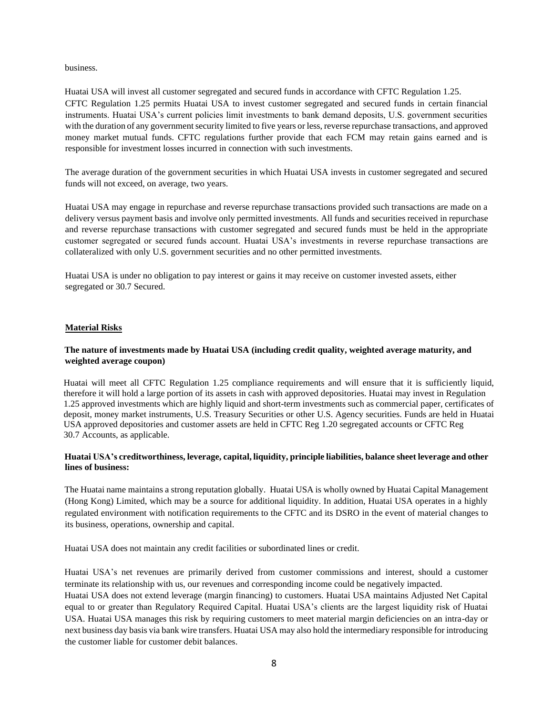business.

Huatai USA will invest all customer segregated and secured funds in accordance with CFTC Regulation 1.25. CFTC Regulation 1.25 permits Huatai USA to invest customer segregated and secured funds in certain financial instruments. Huatai USA's current policies limit investments to bank demand deposits, U.S. government securities with the duration of any government security limited to five years or less, reverse repurchase transactions, and approved money market mutual funds. CFTC regulations further provide that each FCM may retain gains earned and is responsible for investment losses incurred in connection with such investments.

The average duration of the government securities in which Huatai USA invests in customer segregated and secured funds will not exceed, on average, two years.

Huatai USA may engage in repurchase and reverse repurchase transactions provided such transactions are made on a delivery versus payment basis and involve only permitted investments. All funds and securities received in repurchase and reverse repurchase transactions with customer segregated and secured funds must be held in the appropriate customer segregated or secured funds account. Huatai USA's investments in reverse repurchase transactions are collateralized with only U.S. government securities and no other permitted investments.

Huatai USA is under no obligation to pay interest or gains it may receive on customer invested assets, either segregated or 30.7 Secured.

#### **Material Risks**

#### **The nature of investments made by Huatai USA (including credit quality, weighted average maturity, and weighted average coupon)**

Huatai will meet all CFTC Regulation 1.25 compliance requirements and will ensure that it is sufficiently liquid, therefore it will hold a large portion of its assets in cash with approved depositories. Huatai may invest in Regulation 1.25 approved investments which are highly liquid and short-term investments such as commercial paper, certificates of deposit, money market instruments, U.S. Treasury Securities or other U.S. Agency securities. Funds are held in Huatai USA approved depositories and customer assets are held in CFTC Reg 1.20 segregated accounts or CFTC Reg 30.7 Accounts, as applicable.

#### **Huatai USA's creditworthiness, leverage, capital, liquidity, principle liabilities, balance sheet leverage and other lines of business:**

The Huatai name maintains a strong reputation globally. Huatai USA is wholly owned by Huatai Capital Management (Hong Kong) Limited, which may be a source for additional liquidity. In addition, Huatai USA operates in a highly regulated environment with notification requirements to the CFTC and its DSRO in the event of material changes to its business, operations, ownership and capital.

Huatai USA does not maintain any credit facilities or subordinated lines or credit.

Huatai USA's net revenues are primarily derived from customer commissions and interest, should a customer terminate its relationship with us, our revenues and corresponding income could be negatively impacted.

Huatai USA does not extend leverage (margin financing) to customers. Huatai USA maintains Adjusted Net Capital equal to or greater than Regulatory Required Capital. Huatai USA's clients are the largest liquidity risk of Huatai USA. Huatai USA manages this risk by requiring customers to meet material margin deficiencies on an intra-day or next business day basis via bank wire transfers. Huatai USA may also hold the intermediary responsible for introducing the customer liable for customer debit balances.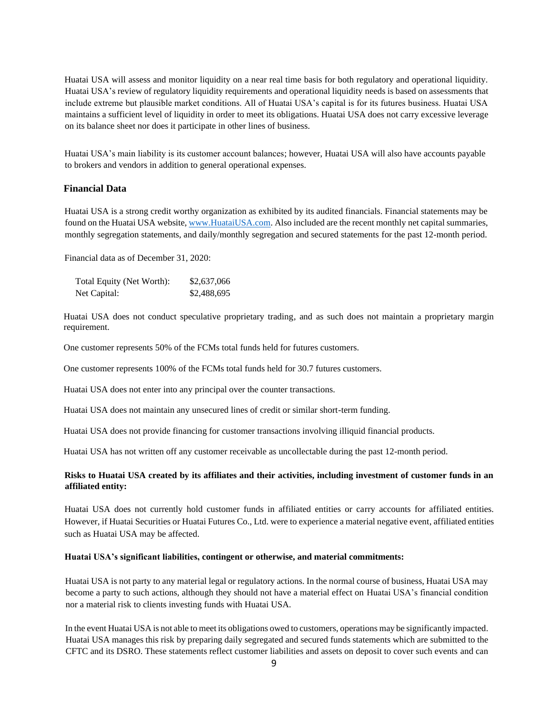Huatai USA will assess and monitor liquidity on a near real time basis for both regulatory and operational liquidity. Huatai USA's review of regulatory liquidity requirements and operational liquidity needs is based on assessments that include extreme but plausible market conditions. All of Huatai USA's capital is for its futures business. Huatai USA maintains a sufficient level of liquidity in order to meet its obligations. Huatai USA does not carry excessive leverage on its balance sheet nor does it participate in other lines of business.

Huatai USA's main liability is its customer account balances; however, Huatai USA will also have accounts payable to brokers and vendors in addition to general operational expenses.

#### **Financial Data**

Huatai USA is a strong credit worthy organization as exhibited by its audited financials. Financial statements may be found on the Huatai USA website[, www.HuataiUSA.com.](http://www.huataiusa.com/) Also included are the recent monthly net capital summaries, monthly segregation statements, and daily/monthly segregation and secured statements for the past 12-month period.

Financial data as of December 31, 2020:

| Total Equity (Net Worth): | \$2,637,066 |
|---------------------------|-------------|
| Net Capital:              | \$2,488,695 |

Huatai USA does not conduct speculative proprietary trading, and as such does not maintain a proprietary margin requirement.

One customer represents 50% of the FCMs total funds held for futures customers.

One customer represents 100% of the FCMs total funds held for 30.7 futures customers.

Huatai USA does not enter into any principal over the counter transactions.

Huatai USA does not maintain any unsecured lines of credit or similar short-term funding.

Huatai USA does not provide financing for customer transactions involving illiquid financial products.

Huatai USA has not written off any customer receivable as uncollectable during the past 12-month period.

#### **Risks to Huatai USA created by its affiliates and their activities, including investment of customer funds in an affiliated entity:**

Huatai USA does not currently hold customer funds in affiliated entities or carry accounts for affiliated entities. However, if Huatai Securities or Huatai Futures Co., Ltd. were to experience a material negative event, affiliated entities such as Huatai USA may be affected.

#### **Huatai USA's significant liabilities, contingent or otherwise, and material commitments:**

Huatai USA is not party to any material legal or regulatory actions. In the normal course of business, Huatai USA may become a party to such actions, although they should not have a material effect on Huatai USA's financial condition nor a material risk to clients investing funds with Huatai USA.

In the event Huatai USA is not able to meet its obligations owed to customers, operations may be significantly impacted. Huatai USA manages this risk by preparing daily segregated and secured funds statements which are submitted to the CFTC and its DSRO. These statements reflect customer liabilities and assets on deposit to cover such events and can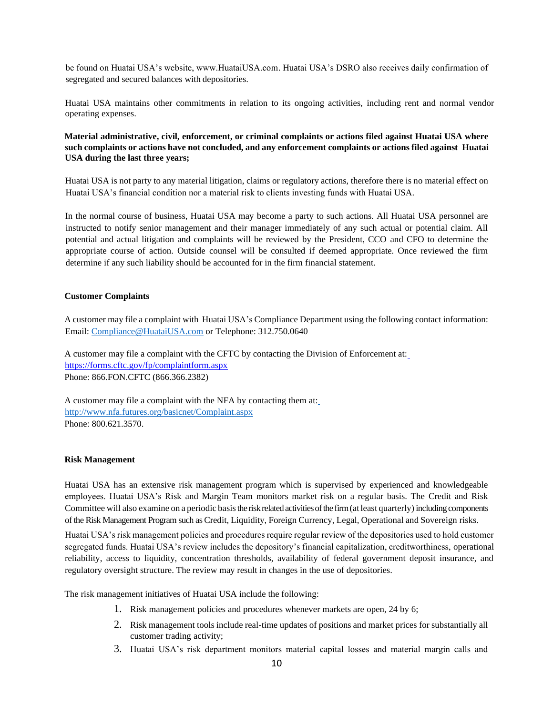be found on Huatai USA's website, www.HuataiUSA.com. Huatai USA's DSRO also receives daily confirmation of segregated and secured balances with depositories.

Huatai USA maintains other commitments in relation to its ongoing activities, including rent and normal vendor operating expenses.

#### **Material administrative, civil, enforcement, or criminal complaints or actions filed against Huatai USA where such complaints or actions have not concluded, and any enforcement complaints or actions filed against Huatai USA during the last three years;**

Huatai USA is not party to any material litigation, claims or regulatory actions, therefore there is no material effect on Huatai USA's financial condition nor a material risk to clients investing funds with Huatai USA.

In the normal course of business, Huatai USA may become a party to such actions. All Huatai USA personnel are instructed to notify senior management and their manager immediately of any such actual or potential claim. All potential and actual litigation and complaints will be reviewed by the President, CCO and CFO to determine the appropriate course of action. Outside counsel will be consulted if deemed appropriate. Once reviewed the firm determine if any such liability should be accounted for in the firm financial statement.

#### **Customer Complaints**

A customer may file a complaint with Huatai USA's Compliance Department using the following contact information: Email: [Compliance@HuataiUSA.com](mailto:Compliance@HuataiUSA.com) or Telephone: 312.750.0640

A customer may file a complaint with the CFTC by contacting the Division of Enforcement at[:](https://forms.cftc.gov/fp/complaintform.aspx) <https://forms.cftc.gov/fp/complaintform.aspx> Phone: 866.FON.CFTC (866.366.2382)

A customer may file a complaint with the NFA by contacting them at[:](http://www.nfa.futures.org/basicnet/Complaint.aspx) <http://www.nfa.futures.org/basicnet/Complaint.aspx> Phone: 800.621.3570.

#### **Risk Management**

Huatai USA has an extensive risk management program which is supervised by experienced and knowledgeable employees. Huatai USA's Risk and Margin Team monitors market risk on a regular basis. The Credit and Risk Committee will also examine on a periodic basis the risk related activities of the firm (at least quarterly) including components of the Risk Management Program such as Credit, Liquidity, Foreign Currency, Legal, Operational and Sovereign risks.

Huatai USA's risk management policies and procedures require regular review of the depositories used to hold customer segregated funds. Huatai USA's review includes the depository's financial capitalization, creditworthiness, operational reliability, access to liquidity, concentration thresholds, availability of federal government deposit insurance, and regulatory oversight structure. The review may result in changes in the use of depositories.

The risk management initiatives of Huatai USA include the following:

- 1. Risk management policies and procedures whenever markets are open, 24 by 6;
- 2. Risk management tools include real-time updates of positions and market prices for substantially all customer trading activity;
- 3. Huatai USA's risk department monitors material capital losses and material margin calls and